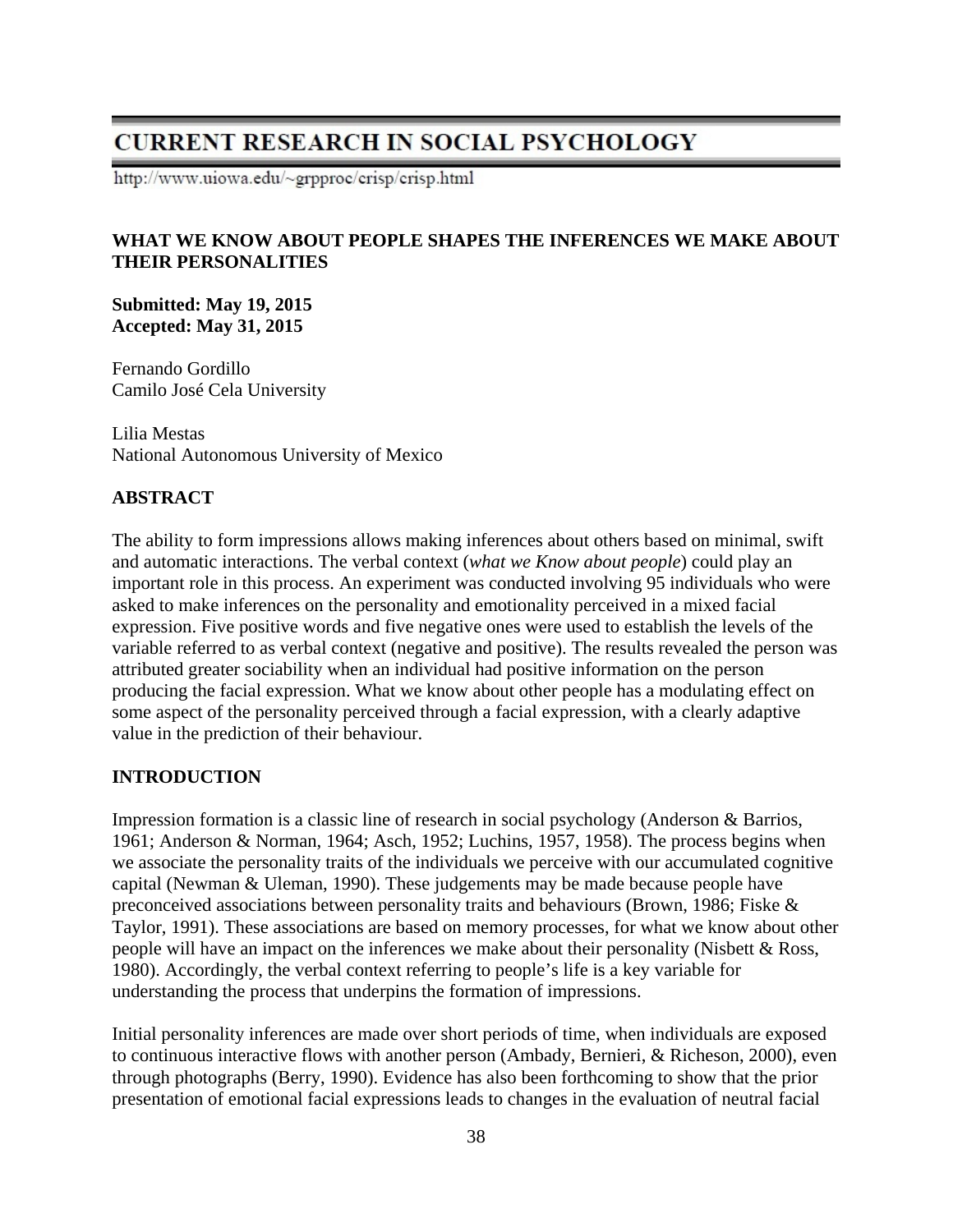# **CURRENT RESEARCH IN SOCIAL PSYCHOLOGY**

http://www.uiowa.edu/~grpproc/crisp/crisp.html

## **WHAT WE KNOW ABOUT PEOPLE SHAPES THE INFERENCES WE MAKE ABOUT THEIR PERSONALITIES**

**Submitted: May 19, 2015 Accepted: May 31, 2015** 

Fernando Gordillo Camilo José Cela University

Lilia Mestas National Autonomous University of Mexico

### **ABSTRACT**

The ability to form impressions allows making inferences about others based on minimal, swift and automatic interactions. The verbal context (*what we Know about people*) could play an important role in this process. An experiment was conducted involving 95 individuals who were asked to make inferences on the personality and emotionality perceived in a mixed facial expression. Five positive words and five negative ones were used to establish the levels of the variable referred to as verbal context (negative and positive). The results revealed the person was attributed greater sociability when an individual had positive information on the person producing the facial expression. What we know about other people has a modulating effect on some aspect of the personality perceived through a facial expression, with a clearly adaptive value in the prediction of their behaviour.

#### **INTRODUCTION**

Impression formation is a classic line of research in social psychology (Anderson & Barrios, 1961; Anderson & Norman, 1964; Asch, 1952; Luchins, 1957, 1958). The process begins when we associate the personality traits of the individuals we perceive with our accumulated cognitive capital (Newman & Uleman, 1990). These judgements may be made because people have preconceived associations between personality traits and behaviours (Brown, 1986; Fiske & Taylor, 1991). These associations are based on memory processes, for what we know about other people will have an impact on the inferences we make about their personality (Nisbett & Ross, 1980). Accordingly, the verbal context referring to people's life is a key variable for understanding the process that underpins the formation of impressions.

Initial personality inferences are made over short periods of time, when individuals are exposed to continuous interactive flows with another person (Ambady, Bernieri, & Richeson, 2000), even through photographs (Berry, 1990). Evidence has also been forthcoming to show that the prior presentation of emotional facial expressions leads to changes in the evaluation of neutral facial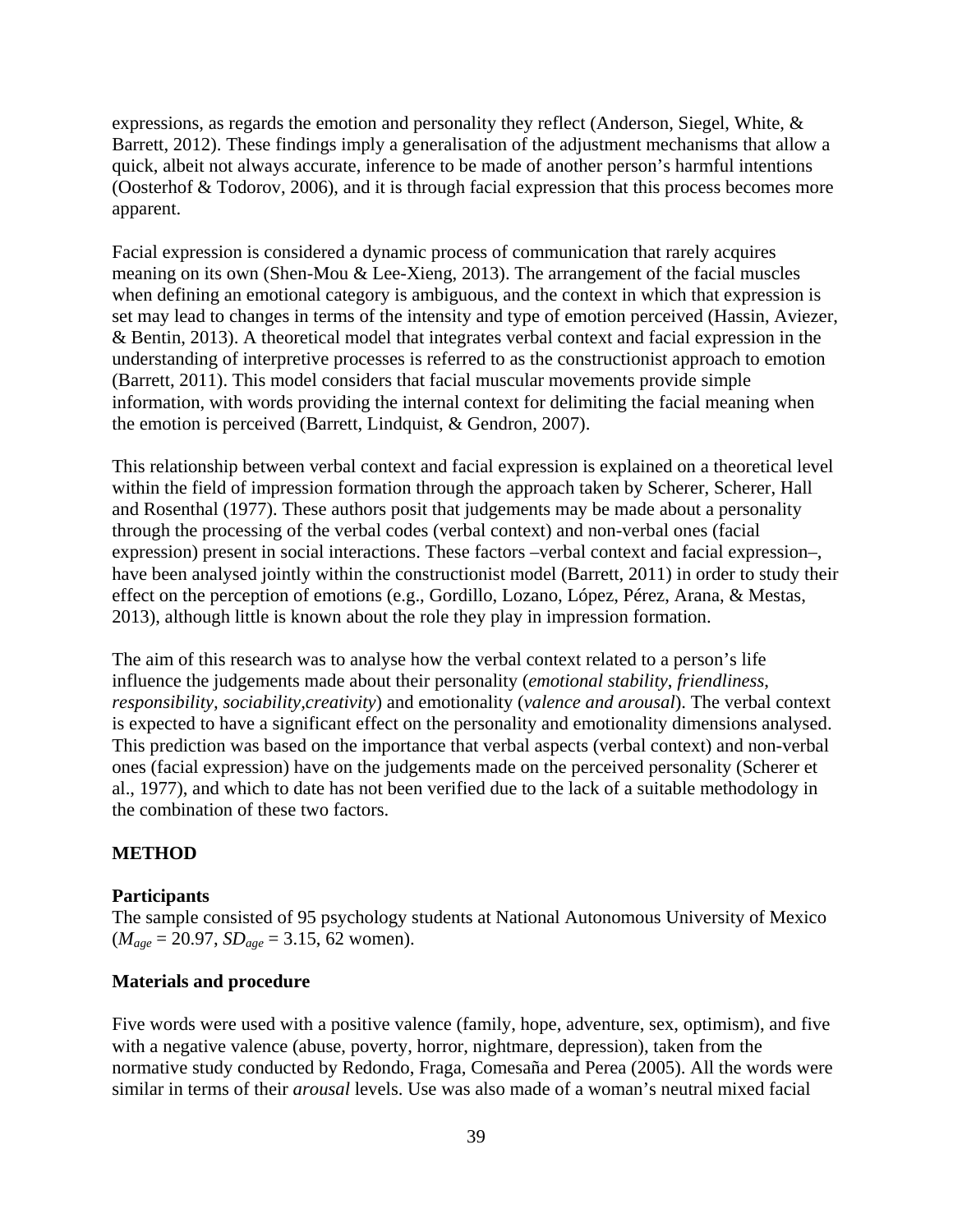expressions, as regards the emotion and personality they reflect (Anderson, Siegel, White, & Barrett, 2012). These findings imply a generalisation of the adjustment mechanisms that allow a quick, albeit not always accurate, inference to be made of another person's harmful intentions (Oosterhof & Todorov, 2006), and it is through facial expression that this process becomes more apparent.

Facial expression is considered a dynamic process of communication that rarely acquires meaning on its own (Shen-Mou & Lee-Xieng, 2013). The arrangement of the facial muscles when defining an emotional category is ambiguous, and the context in which that expression is set may lead to changes in terms of the intensity and type of emotion perceived (Hassin, Aviezer, & Bentin, 2013). A theoretical model that integrates verbal context and facial expression in the understanding of interpretive processes is referred to as the constructionist approach to emotion (Barrett, 2011). This model considers that facial muscular movements provide simple information, with words providing the internal context for delimiting the facial meaning when the emotion is perceived (Barrett, Lindquist, & Gendron, 2007).

This relationship between verbal context and facial expression is explained on a theoretical level within the field of impression formation through the approach taken by Scherer, Scherer, Hall and Rosenthal (1977). These authors posit that judgements may be made about a personality through the processing of the verbal codes (verbal context) and non-verbal ones (facial expression) present in social interactions. These factors –verbal context and facial expression–, have been analysed jointly within the constructionist model (Barrett, 2011) in order to study their effect on the perception of emotions (e.g., Gordillo, Lozano, López, Pérez, Arana, & Mestas, 2013), although little is known about the role they play in impression formation.

The aim of this research was to analyse how the verbal context related to a person's life influence the judgements made about their personality (*emotional stability*, *friendliness*, *responsibility, sociability,creativity*) and emotionality (*valence and arousal*). The verbal context is expected to have a significant effect on the personality and emotionality dimensions analysed. This prediction was based on the importance that verbal aspects (verbal context) and non-verbal ones (facial expression) have on the judgements made on the perceived personality (Scherer et al., 1977), and which to date has not been verified due to the lack of a suitable methodology in the combination of these two factors.

#### **METHOD**

#### **Participants**

The sample consisted of 95 psychology students at National Autonomous University of Mexico  $(M_{age} = 20.97, SD_{age} = 3.15, 62$  women).

#### **Materials and procedure**

Five words were used with a positive valence (family, hope, adventure, sex, optimism), and five with a negative valence (abuse, poverty, horror, nightmare, depression), taken from the normative study conducted by Redondo, Fraga, Comesaña and Perea (2005). All the words were similar in terms of their *arousal* levels. Use was also made of a woman's neutral mixed facial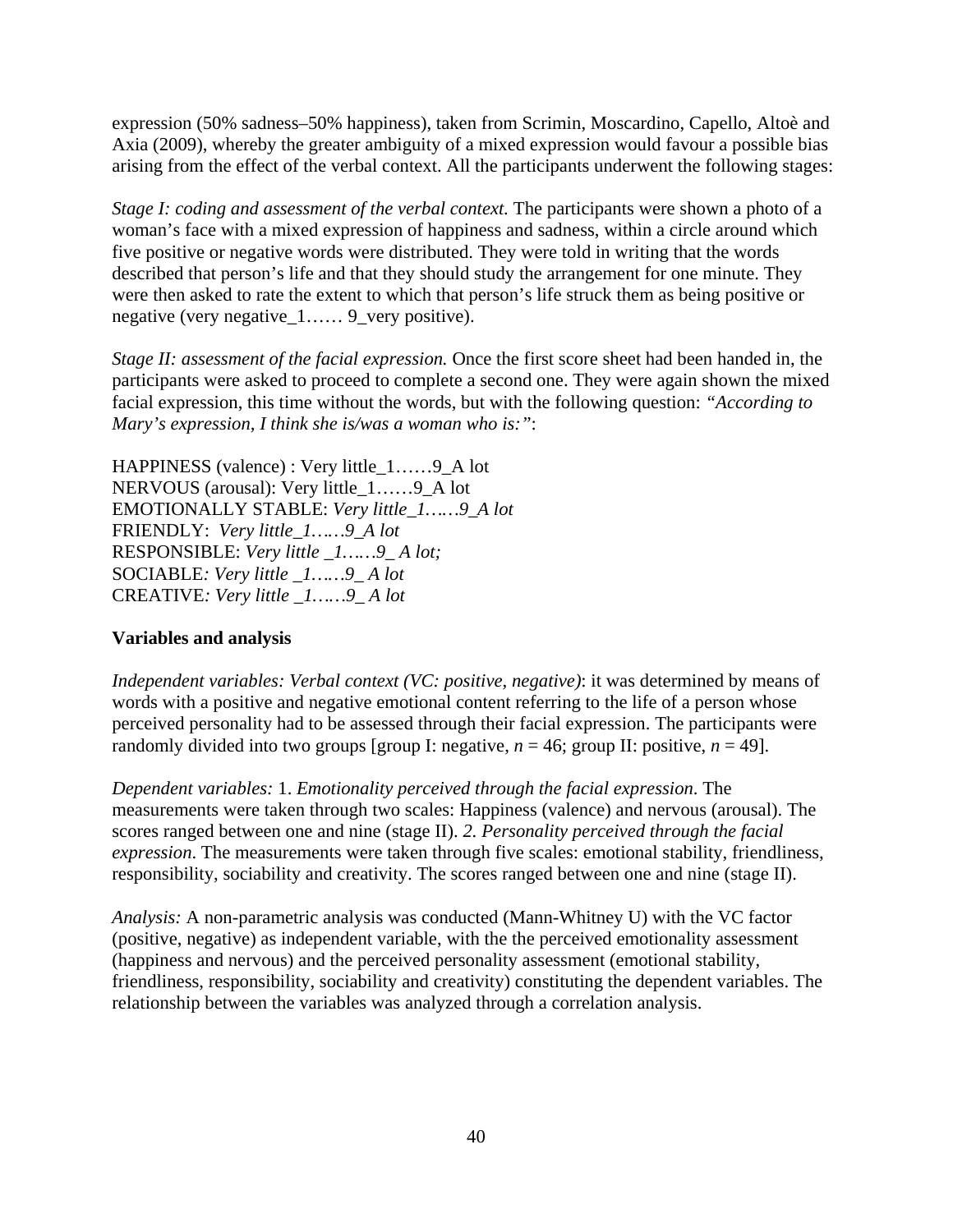expression (50% sadness–50% happiness), taken from Scrimin, Moscardino, Capello, Altoè and Axia (2009), whereby the greater ambiguity of a mixed expression would favour a possible bias arising from the effect of the verbal context. All the participants underwent the following stages:

*Stage I: coding and assessment of the verbal context.* The participants were shown a photo of a woman's face with a mixed expression of happiness and sadness, within a circle around which five positive or negative words were distributed. They were told in writing that the words described that person's life and that they should study the arrangement for one minute. They were then asked to rate the extent to which that person's life struck them as being positive or negative (very negative\_1…… 9\_very positive).

*Stage II: assessment of the facial expression.* Once the first score sheet had been handed in, the participants were asked to proceed to complete a second one. They were again shown the mixed facial expression, this time without the words, but with the following question: *"According to Mary's expression, I think she is/was a woman who is:"*:

HAPPINESS (valence) : Very little\_1……9\_A lot NERVOUS (arousal): Very little\_1……9\_A lot EMOTIONALLY STABLE: *Very little\_1……9\_A lot* FRIENDLY: *Very little\_1……9\_A lot*  RESPONSIBLE: *Very little \_1……9\_ A lot;*  SOCIABLE*: Very little \_1……9\_ A lot*  CREATIVE*: Very little \_1……9\_ A lot*

## **Variables and analysis**

*Independent variables: Verbal context (VC: positive, negative)*: it was determined by means of words with a positive and negative emotional content referring to the life of a person whose perceived personality had to be assessed through their facial expression. The participants were randomly divided into two groups [group I: negative,  $n = 46$ ; group II: positive,  $n = 49$ ].

*Dependent variables:* 1. *Emotionality perceived through the facial expression*. The measurements were taken through two scales: Happiness (valence) and nervous (arousal). The scores ranged between one and nine (stage II). *2. Personality perceived through the facial expression*. The measurements were taken through five scales: emotional stability, friendliness, responsibility, sociability and creativity. The scores ranged between one and nine (stage II).

*Analysis:* A non-parametric analysis was conducted (Mann-Whitney U) with the VC factor (positive, negative) as independent variable, with the the perceived emotionality assessment (happiness and nervous) and the perceived personality assessment (emotional stability, friendliness, responsibility, sociability and creativity) constituting the dependent variables. The relationship between the variables was analyzed through a correlation analysis.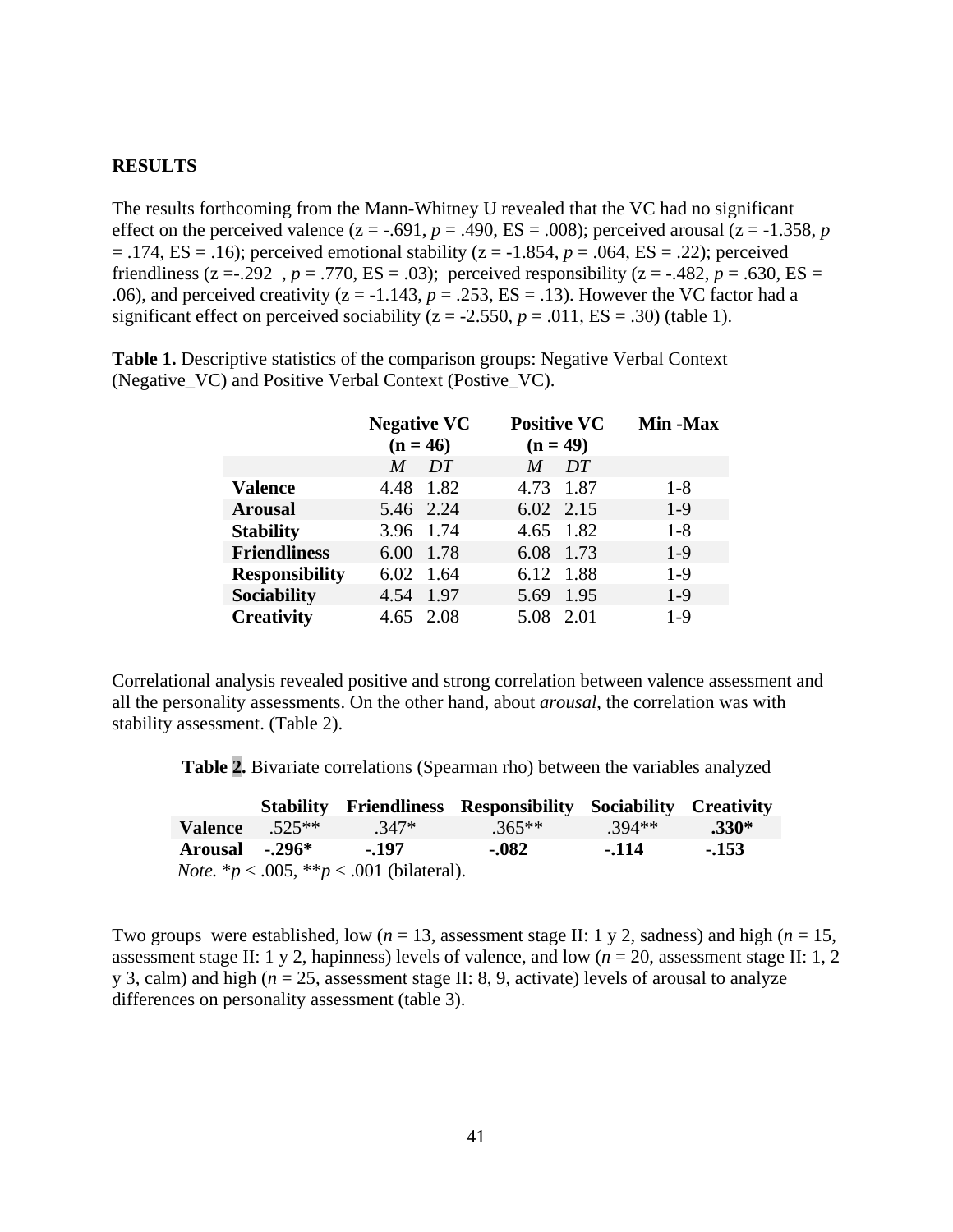#### **RESULTS**

The results forthcoming from the Mann-Whitney U revealed that the VC had no significant effect on the perceived valence  $(z = -.691, p = .490, ES = .008)$ ; perceived arousal  $(z = -1.358, p$ = .174, ES = .16); perceived emotional stability (z = -1.854, *p* = .064, ES = .22); perceived friendliness (z = -.292,  $p = .770$ , ES = .03); perceived responsibility (z = -.482,  $p = .630$ , ES = .06), and perceived creativity ( $z = -1.143$ ,  $p = .253$ ,  $ES = .13$ ). However the VC factor had a significant effect on perceived sociability  $(z = -2.550, p = .011, ES = .30)$  (table 1).

|                       | <b>Negative VC</b><br>$(n = 46)$ |           | <b>Positive VC</b><br>$(n = 49)$ |    | Min -Max |
|-----------------------|----------------------------------|-----------|----------------------------------|----|----------|
|                       | M                                | DT        | M                                | DT |          |
| Valence               |                                  | 4.48 1.82 | 4.73 1.87                        |    | $1 - 8$  |
| <b>Arousal</b>        |                                  | 5.46 2.24 | 6.02 2.15                        |    | $1-9$    |
| <b>Stability</b>      |                                  | 3.96 1.74 | 4.65 1.82                        |    | $1 - 8$  |
| <b>Friendliness</b>   |                                  | 6.00 1.78 | 6.08 1.73                        |    | $1-9$    |
| <b>Responsibility</b> |                                  | 6.02 1.64 | 6.12 1.88                        |    | $1-9$    |
| Sociability           | 4.54 1.97                        |           | 5.69 1.95                        |    | $1-9$    |
| <b>Creativity</b>     |                                  | 4.65 2.08 | 5.08 2.01                        |    | $1-9$    |

**Table 1.** Descriptive statistics of the comparison groups: Negative Verbal Context (Negative\_VC) and Positive Verbal Context (Postive\_VC).

Correlational analysis revealed positive and strong correlation between valence assessment and all the personality assessments. On the other hand, about *arousal*, the correlation was with stability assessment. (Table 2).

| Table 2. Bivariate correlations (Spearman rho) between the variables analyzed |
|-------------------------------------------------------------------------------|
|-------------------------------------------------------------------------------|

|                |                                                        | <b>Stability Friendliness Responsibility Sociability Creativity</b> |          |         |
|----------------|--------------------------------------------------------|---------------------------------------------------------------------|----------|---------|
|                | <b>Valence</b> $.525**$ $.347*$                        | $.365***$                                                           | $.394**$ | $.330*$ |
| Arousal -.296* | $-.197$                                                | $-082$                                                              | $-114$   | $-153$  |
|                | <i>Note.</i> * $p < .005$ , ** $p < .001$ (bilateral). |                                                                     |          |         |

Two groups were established, low  $(n = 13$ , assessment stage II: 1 y 2, sadness) and high  $(n = 15$ , assessment stage II: 1 y 2, hapinness) levels of valence, and low (*n* = 20, assessment stage II: 1, 2 y 3, calm) and high (*n* = 25, assessment stage II: 8, 9, activate) levels of arousal to analyze differences on personality assessment (table 3).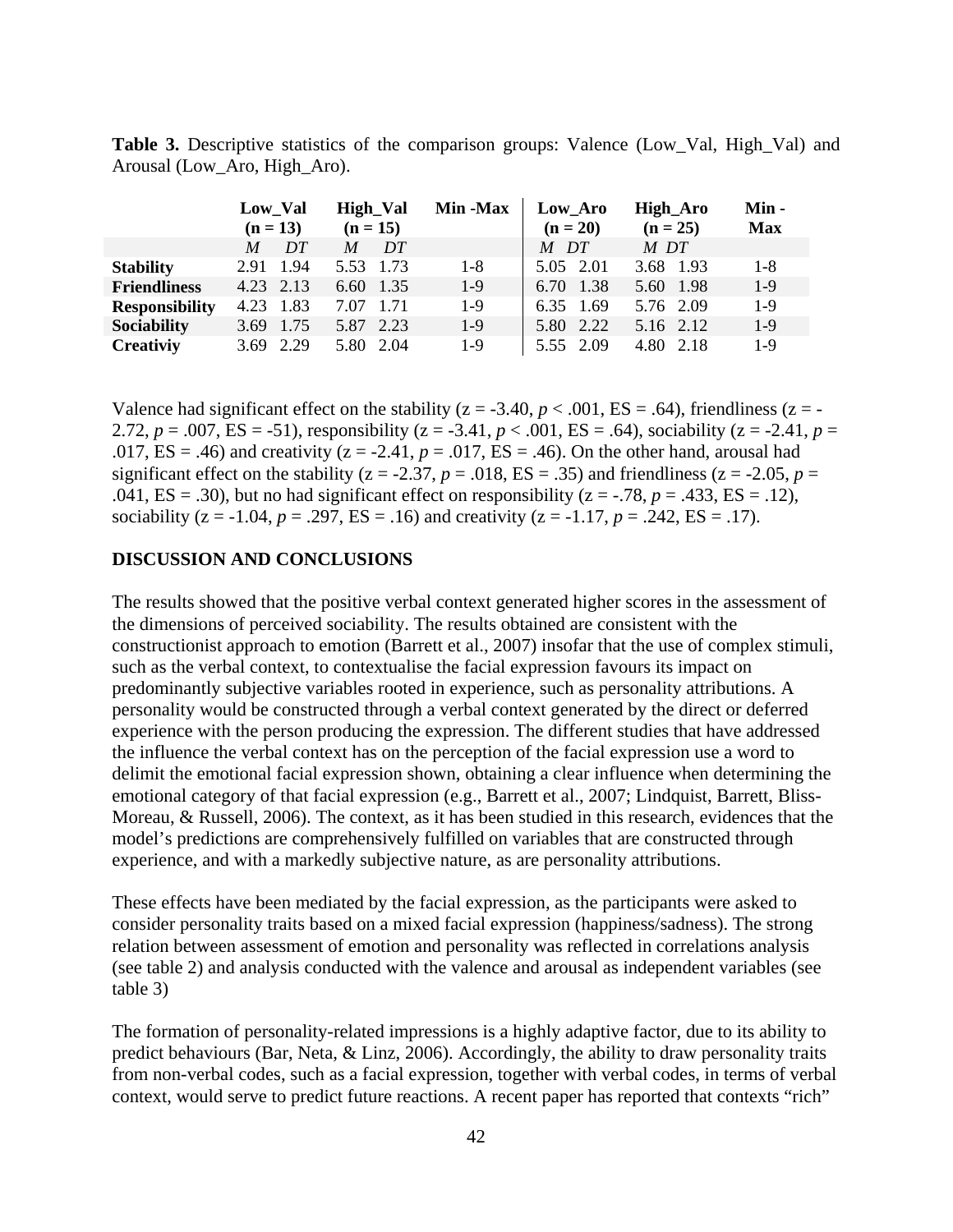**Table 3.** Descriptive statistics of the comparison groups: Valence (Low\_Val, High\_Val) and Arousal (Low\_Aro, High\_Aro).

|                       | Low_Val<br>$(n = 13)$ |           | High_Val<br>$(n = 15)$ |    | <b>Min -Max</b> | Low Aro<br>$(n = 20)$ |  | High_Aro<br>$(n = 25)$ |  | Min -<br><b>Max</b> |
|-----------------------|-----------------------|-----------|------------------------|----|-----------------|-----------------------|--|------------------------|--|---------------------|
|                       | M                     | DT        | M                      | DT |                 | M DT                  |  | M DT                   |  |                     |
| <b>Stability</b>      | 2.91 1.94             |           | 5.53 1.73              |    | $1 - 8$         | 5.05 2.01             |  | 3.68 1.93              |  | $1 - 8$             |
| <b>Friendliness</b>   | 4.23 2.13             |           | 6.60 1.35              |    | $1-9$           | 6.70 1.38             |  | 5.60 1.98              |  | $1-9$               |
| <b>Responsibility</b> | 4.23 1.83             |           | 7.07 1.71              |    | $1-9$           | 6.35 1.69             |  | 5.76 2.09              |  | $1-9$               |
| <b>Sociability</b>    |                       | 3.69 1.75 | 5.87 2.23              |    | $1-9$           | 5.80 2.22             |  | 5.16 2.12              |  | $1-9$               |
| <b>Creativiy</b>      |                       | 3.69 2.29 | 5.80 2.04              |    | $1-9$           | 5.55 2.09             |  | 4.80 2.18              |  | $1-9$               |

Valence had significant effect on the stability ( $z = -3.40$ ,  $p < .001$ ,  $ES = .64$ ), friendliness ( $z = -1$ 2.72,  $p = .007$ ,  $ES = -51$ ), responsibility ( $z = -3.41$ ,  $p < .001$ ,  $ES = .64$ ), sociability ( $z = -2.41$ ,  $p =$ .017,  $ES = .46$ ) and creativity ( $z = -2.41$ ,  $p = .017$ ,  $ES = .46$ ). On the other hand, arousal had significant effect on the stability ( $z = -2.37$ ,  $p = .018$ ,  $ES = .35$ ) and friendliness ( $z = -2.05$ ,  $p =$ .041,  $ES = .30$ ), but no had significant effect on responsibility ( $z = -.78$ ,  $p = .433$ ,  $ES = .12$ ), sociability ( $z = -1.04$ ,  $p = .297$ ,  $ES = .16$ ) and creativity ( $z = -1.17$ ,  $p = .242$ ,  $ES = .17$ ).

#### **DISCUSSION AND CONCLUSIONS**

The results showed that the positive verbal context generated higher scores in the assessment of the dimensions of perceived sociability. The results obtained are consistent with the constructionist approach to emotion (Barrett et al., 2007) insofar that the use of complex stimuli, such as the verbal context, to contextualise the facial expression favours its impact on predominantly subjective variables rooted in experience, such as personality attributions. A personality would be constructed through a verbal context generated by the direct or deferred experience with the person producing the expression. The different studies that have addressed the influence the verbal context has on the perception of the facial expression use a word to delimit the emotional facial expression shown, obtaining a clear influence when determining the emotional category of that facial expression (e.g., Barrett et al., 2007; Lindquist, Barrett, Bliss-Moreau, & Russell, 2006). The context, as it has been studied in this research, evidences that the model's predictions are comprehensively fulfilled on variables that are constructed through experience, and with a markedly subjective nature, as are personality attributions.

These effects have been mediated by the facial expression, as the participants were asked to consider personality traits based on a mixed facial expression (happiness/sadness). The strong relation between assessment of emotion and personality was reflected in correlations analysis (see table 2) and analysis conducted with the valence and arousal as independent variables (see table 3)

The formation of personality-related impressions is a highly adaptive factor, due to its ability to predict behaviours (Bar, Neta, & Linz, 2006). Accordingly, the ability to draw personality traits from non-verbal codes, such as a facial expression, together with verbal codes, in terms of verbal context, would serve to predict future reactions. A recent paper has reported that contexts "rich"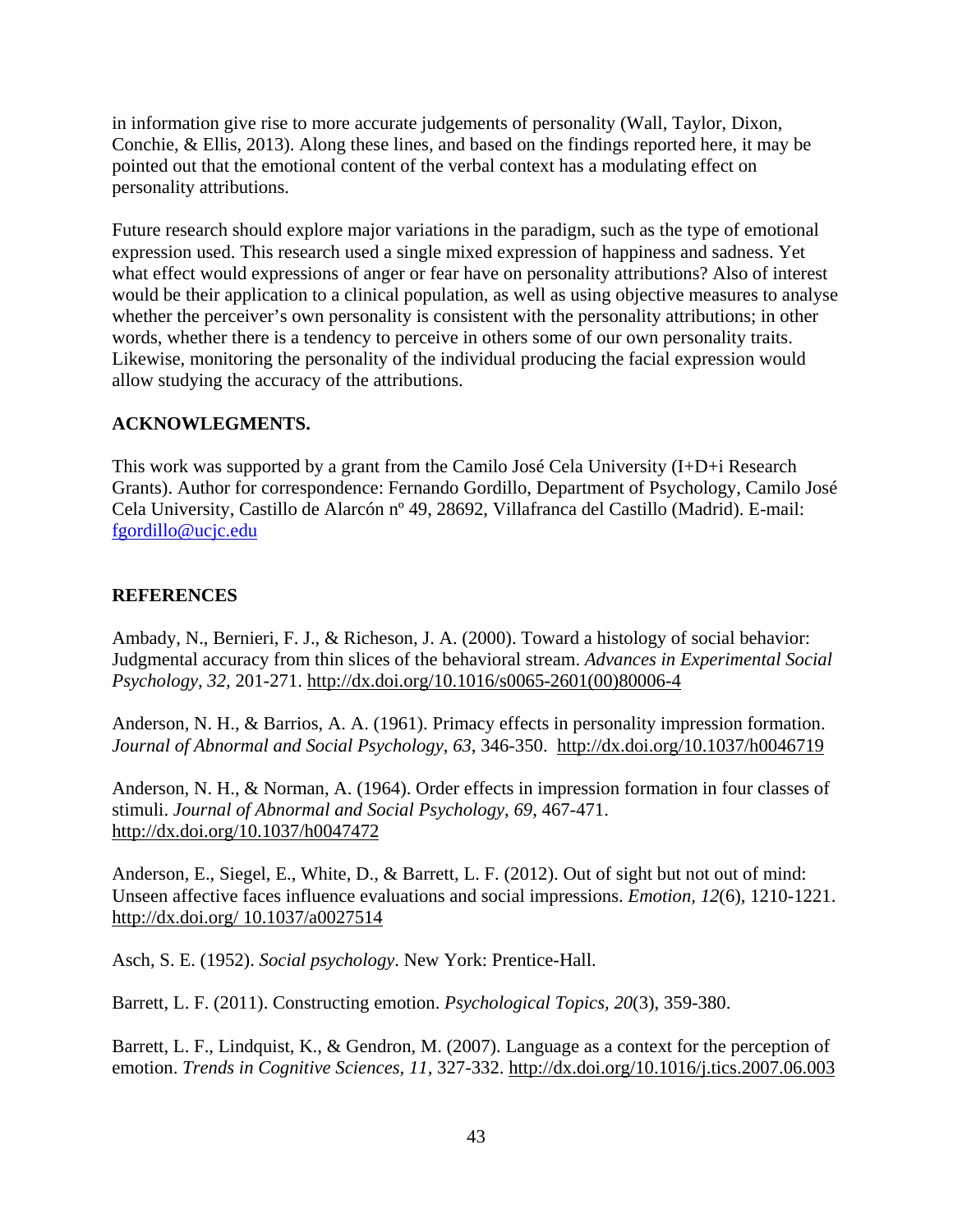in information give rise to more accurate judgements of personality (Wall, Taylor, Dixon, Conchie, & Ellis, 2013). Along these lines, and based on the findings reported here, it may be pointed out that the emotional content of the verbal context has a modulating effect on personality attributions.

Future research should explore major variations in the paradigm, such as the type of emotional expression used. This research used a single mixed expression of happiness and sadness. Yet what effect would expressions of anger or fear have on personality attributions? Also of interest would be their application to a clinical population, as well as using objective measures to analyse whether the perceiver's own personality is consistent with the personality attributions; in other words, whether there is a tendency to perceive in others some of our own personality traits. Likewise, monitoring the personality of the individual producing the facial expression would allow studying the accuracy of the attributions.

## **ACKNOWLEGMENTS.**

This work was supported by a grant from the Camilo José Cela University (I+D+i Research Grants). Author for correspondence: Fernando Gordillo, Department of Psychology, Camilo José Cela University, Castillo de Alarcón nº 49, 28692, Villafranca del Castillo (Madrid). E-mail: fgordillo@ucjc.edu

### **REFERENCES**

Ambady, N., Bernieri, F. J., & Richeson, J. A. (2000). Toward a histology of social behavior: Judgmental accuracy from thin slices of the behavioral stream. *Advances in Experimental Social Psychology, 32,* 201-271. http://dx.doi.org/10.1016/s0065-2601(00)80006-4

Anderson, N. H., & Barrios, A. A. (1961). Primacy effects in personality impression formation. *Journal of Abnormal and Social Psychology*, *63*, 346-350. http://dx.doi.org/10.1037/h0046719

Anderson, N. H., & Norman, A. (1964). Order effects in impression formation in four classes of stimuli. *Journal of Abnormal and Social Psychology*, *69*, 467-471. http://dx.doi.org/10.1037/h0047472

Anderson, E., Siegel, E., White, D., & Barrett, L. F. (2012). Out of sight but not out of mind: Unseen affective faces influence evaluations and social impressions. *Emotion, 12*(6), 1210-1221. http://dx.doi.org/ 10.1037/a0027514

Asch, S. E. (1952). *Social psychology*. New York: Prentice-Hall.

Barrett, L. F. (2011). Constructing emotion. *Psychological Topics, 20*(3), 359-380.

Barrett, L. F., Lindquist, K., & Gendron, M. (2007). Language as a context for the perception of emotion. *Trends in Cognitive Sciences, 11,* 327-332. http://dx.doi.org/10.1016/j.tics.2007.06.003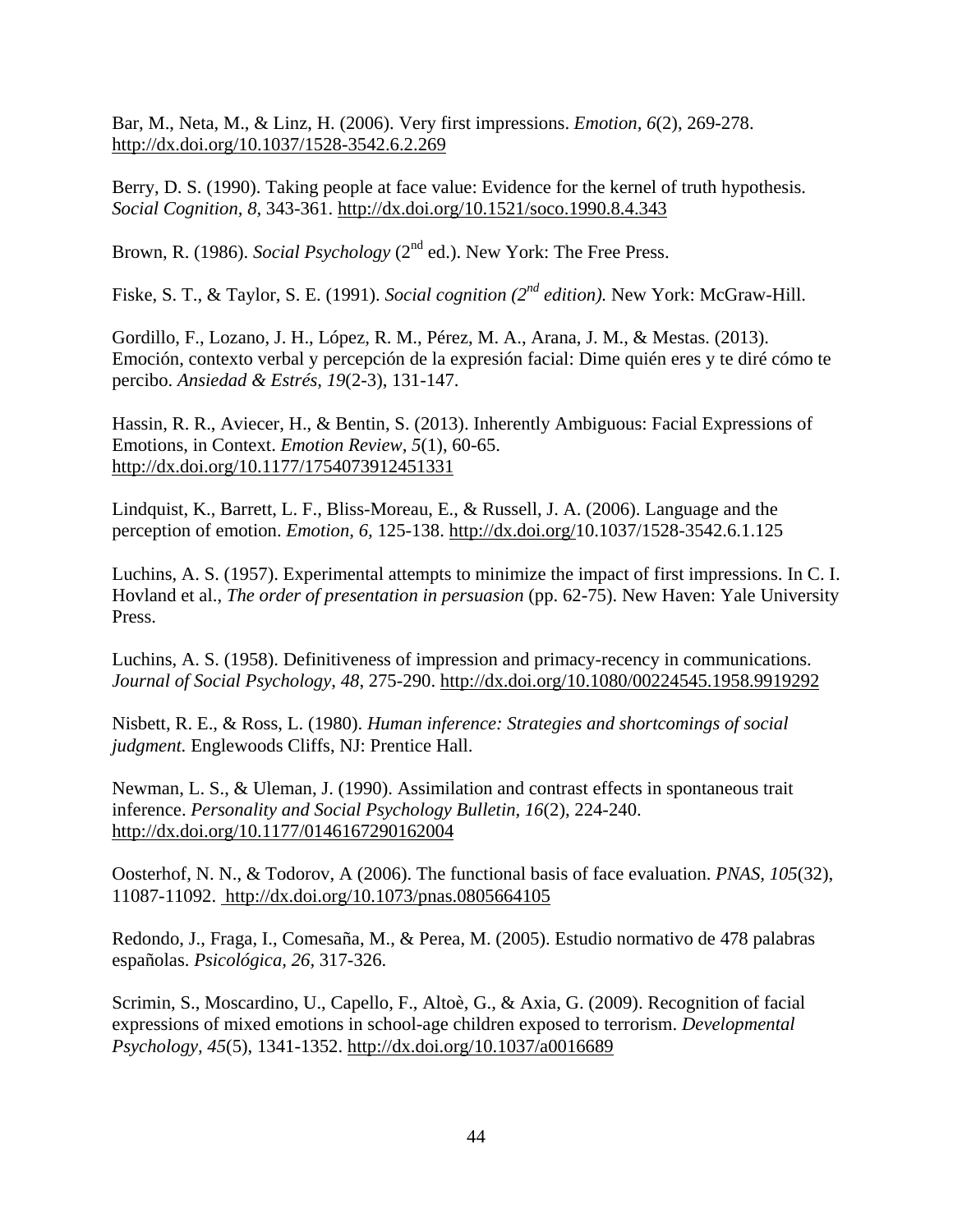Bar, M., Neta, M., & Linz, H. (2006). Very first impressions. *Emotion, 6*(2), 269-278. http://dx.doi.org/10.1037/1528-3542.6.2.269

Berry, D. S. (1990). Taking people at face value: Evidence for the kernel of truth hypothesis. *Social Cognition, 8,* 343-361. http://dx.doi.org/10.1521/soco.1990.8.4.343

Brown, R. (1986). *Social Psychology* (2<sup>nd</sup> ed.). New York: The Free Press.

Fiske, S. T., & Taylor, S. E. (1991). *Social cognition (2nd edition).* New York: McGraw-Hill.

Gordillo, F., Lozano, J. H., López, R. M., Pérez, M. A., Arana, J. M., & Mestas. (2013). Emoción, contexto verbal y percepción de la expresión facial: Dime quién eres y te diré cómo te percibo. *Ansiedad & Estrés, 19*(2-3), 131-147.

Hassin, R. R., Aviecer, H., & Bentin, S. (2013). Inherently Ambiguous: Facial Expressions of Emotions, in Context. *Emotion Review, 5*(1), 60-65. http://dx.doi.org/10.1177/1754073912451331

Lindquist, K., Barrett, L. F., Bliss-Moreau, E., & Russell, J. A. (2006). Language and the perception of emotion. *Emotion, 6,* 125-138. http://dx.doi.org/10.1037/1528-3542.6.1.125

Luchins, A. S. (1957). Experimental attempts to minimize the impact of first impressions. In C. I. Hovland et al., *The order of presentation in persuasion* (pp. 62-75). New Haven: Yale University Press.

Luchins, A. S. (1958). Definitiveness of impression and primacy-recency in communications. *Journal of Social Psychology*, *48*, 275-290. http://dx.doi.org/10.1080/00224545.1958.9919292

Nisbett, R. E., & Ross, L. (1980). *Human inference: Strategies and shortcomings of social judgment.* Englewoods Cliffs, NJ: Prentice Hall.

Newman, L. S., & Uleman, J. (1990). Assimilation and contrast effects in spontaneous trait inference. *Personality and Social Psychology Bulletin*, *16*(2), 224-240. http://dx.doi.org/10.1177/0146167290162004

Oosterhof, N. N., & Todorov, A (2006). The functional basis of face evaluation. *PNAS, 105*(32), 11087-11092. http://dx.doi.org/10.1073/pnas.0805664105

Redondo, J., Fraga, I., Comesaña, M., & Perea, M. (2005). Estudio normativo de 478 palabras españolas. *Psicológica, 26,* 317-326.

Scrimin, S., Moscardino, U., Capello, F., Altoè, G., & Axia, G. (2009). Recognition of facial expressions of mixed emotions in school-age children exposed to terrorism. *Developmental Psychology, 45*(5), 1341-1352. http://dx.doi.org/10.1037/a0016689